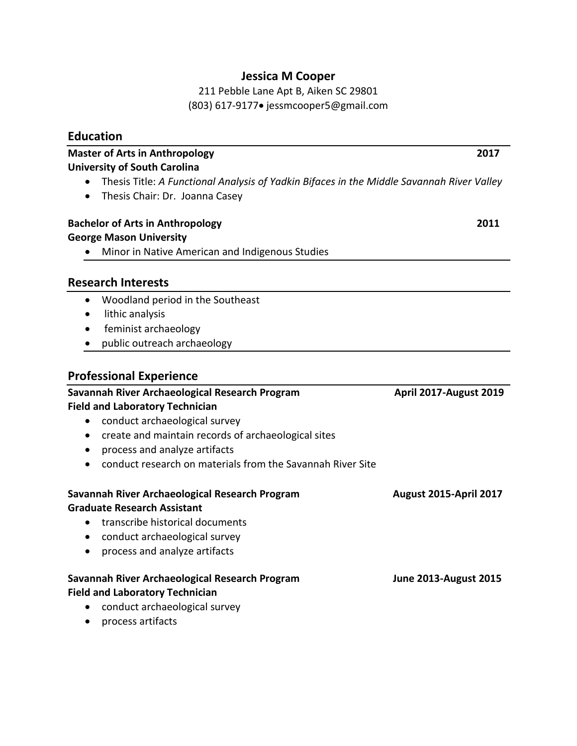# **Jessica M Cooper**

211 Pebble Lane Apt B, Aiken SC 29801 (803) 617-9177• jessmcooper5@gmail.com

|           | <b>Education</b>                                                                            |                               |
|-----------|---------------------------------------------------------------------------------------------|-------------------------------|
|           | <b>Master of Arts in Anthropology</b>                                                       | 2017                          |
|           | <b>University of South Carolina</b>                                                         |                               |
|           | Thesis Title: A Functional Analysis of Yadkin Bifaces in the Middle Savannah River Valley   |                               |
|           | Thesis Chair: Dr. Joanna Casey                                                              |                               |
|           | <b>Bachelor of Arts in Anthropology</b>                                                     | 2011                          |
|           | <b>George Mason University</b>                                                              |                               |
|           | Minor in Native American and Indigenous Studies                                             |                               |
|           | <b>Research Interests</b>                                                                   |                               |
| $\bullet$ | Woodland period in the Southeast                                                            |                               |
| $\bullet$ | lithic analysis                                                                             |                               |
| $\bullet$ | feminist archaeology                                                                        |                               |
|           | public outreach archaeology                                                                 |                               |
|           | <b>Professional Experience</b>                                                              |                               |
|           | Savannah River Archaeological Research Program                                              | <b>April 2017-August 2019</b> |
|           | <b>Field and Laboratory Technician</b>                                                      |                               |
| ٠         | conduct archaeological survey                                                               |                               |
| $\bullet$ | create and maintain records of archaeological sites                                         |                               |
|           | process and analyze artifacts<br>conduct research on materials from the Savannah River Site |                               |
|           |                                                                                             |                               |
|           | Savannah River Archaeological Research Program                                              | <b>August 2015-April 2017</b> |
|           | <b>Graduate Research Assistant</b>                                                          |                               |
|           | transcribe historical documents                                                             |                               |
|           | conduct archaeological survey                                                               |                               |
| $\bullet$ | process and analyze artifacts                                                               |                               |
|           | Savannah River Archaeological Research Program                                              | <b>June 2013-August 2015</b>  |
|           | <b>Field and Laboratory Technician</b>                                                      |                               |
| $\bullet$ | conduct archaeological survey                                                               |                               |

• process artifacts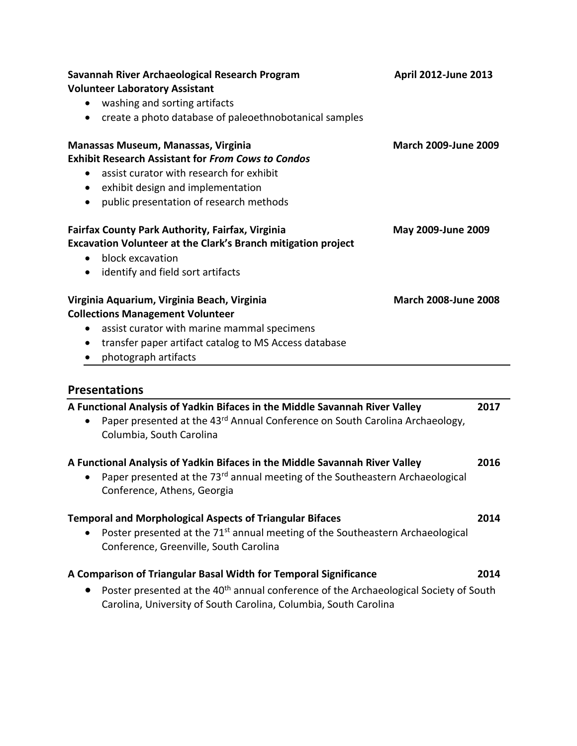|           | <b>Volunteer Laboratory Assistant</b>                                                                                                                                                                           | April 2012-June 2013         |
|-----------|-----------------------------------------------------------------------------------------------------------------------------------------------------------------------------------------------------------------|------------------------------|
|           | washing and sorting artifacts                                                                                                                                                                                   |                              |
|           | create a photo database of paleoethnobotanical samples                                                                                                                                                          |                              |
|           | Manassas Museum, Manassas, Virginia                                                                                                                                                                             | <b>March 2009-June 2009</b>  |
|           | <b>Exhibit Research Assistant for From Cows to Condos</b>                                                                                                                                                       |                              |
| $\bullet$ | assist curator with research for exhibit                                                                                                                                                                        |                              |
| $\bullet$ | exhibit design and implementation                                                                                                                                                                               |                              |
| $\bullet$ | public presentation of research methods                                                                                                                                                                         |                              |
|           | <b>Fairfax County Park Authority, Fairfax, Virginia</b>                                                                                                                                                         | May 2009-June 2009           |
|           | Excavation Volunteer at the Clark's Branch mitigation project                                                                                                                                                   |                              |
| $\bullet$ | block excavation                                                                                                                                                                                                |                              |
| $\bullet$ | identify and field sort artifacts                                                                                                                                                                               |                              |
|           | Virginia Aquarium, Virginia Beach, Virginia                                                                                                                                                                     | <b>March 2008-June 2008</b>  |
|           | <b>Collections Management Volunteer</b>                                                                                                                                                                         |                              |
|           | assist curator with marine mammal specimens                                                                                                                                                                     |                              |
| $\bullet$ | transfer paper artifact catalog to MS Access database                                                                                                                                                           |                              |
|           | photograph artifacts                                                                                                                                                                                            |                              |
|           |                                                                                                                                                                                                                 |                              |
| $\bullet$ | <b>Presentations</b><br>A Functional Analysis of Yadkin Bifaces in the Middle Savannah River Valley<br>Paper presented at the 43rd Annual Conference on South Carolina Archaeology,<br>Columbia, South Carolina |                              |
| $\bullet$ | A Functional Analysis of Yadkin Bifaces in the Middle Savannah River Valley<br>Paper presented at the 73 <sup>rd</sup> annual meeting of the Southeastern Archaeological<br>Conference, Athens, Georgia         |                              |
|           | <b>Temporal and Morphological Aspects of Triangular Bifaces</b>                                                                                                                                                 |                              |
|           | Poster presented at the 71 <sup>st</sup> annual meeting of the Southeastern Archaeological<br>Conference, Greenville, South Carolina                                                                            |                              |
|           | A Comparison of Triangular Basal Width for Temporal Significance                                                                                                                                                | 2017<br>2016<br>2014<br>2014 |